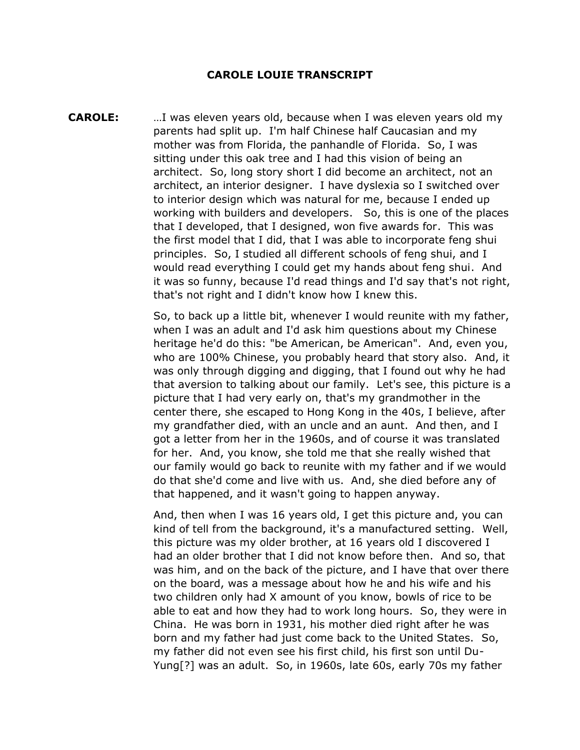## **CAROLE LOUIE TRANSCRIPT**

**CAROLE:** …I was eleven years old, because when I was eleven years old my parents had split up. I'm half Chinese half Caucasian and my mother was from Florida, the panhandle of Florida. So, I was sitting under this oak tree and I had this vision of being an architect. So, long story short I did become an architect, not an architect, an interior designer. I have dyslexia so I switched over to interior design which was natural for me, because I ended up working with builders and developers. So, this is one of the places that I developed, that I designed, won five awards for. This was the first model that I did, that I was able to incorporate feng shui principles. So, I studied all different schools of feng shui, and I would read everything I could get my hands about feng shui. And it was so funny, because I'd read things and I'd say that's not right, that's not right and I didn't know how I knew this.

> So, to back up a little bit, whenever I would reunite with my father, when I was an adult and I'd ask him questions about my Chinese heritage he'd do this: "be American, be American". And, even you, who are 100% Chinese, you probably heard that story also. And, it was only through digging and digging, that I found out why he had that aversion to talking about our family. Let's see, this picture is a picture that I had very early on, that's my grandmother in the center there, she escaped to Hong Kong in the 40s, I believe, after my grandfather died, with an uncle and an aunt. And then, and I got a letter from her in the 1960s, and of course it was translated for her. And, you know, she told me that she really wished that our family would go back to reunite with my father and if we would do that she'd come and live with us. And, she died before any of that happened, and it wasn't going to happen anyway.

> And, then when I was 16 years old, I get this picture and, you can kind of tell from the background, it's a manufactured setting. Well, this picture was my older brother, at 16 years old I discovered I had an older brother that I did not know before then. And so, that was him, and on the back of the picture, and I have that over there on the board, was a message about how he and his wife and his two children only had X amount of you know, bowls of rice to be able to eat and how they had to work long hours. So, they were in China. He was born in 1931, his mother died right after he was born and my father had just come back to the United States. So, my father did not even see his first child, his first son until Du-Yung[?] was an adult. So, in 1960s, late 60s, early 70s my father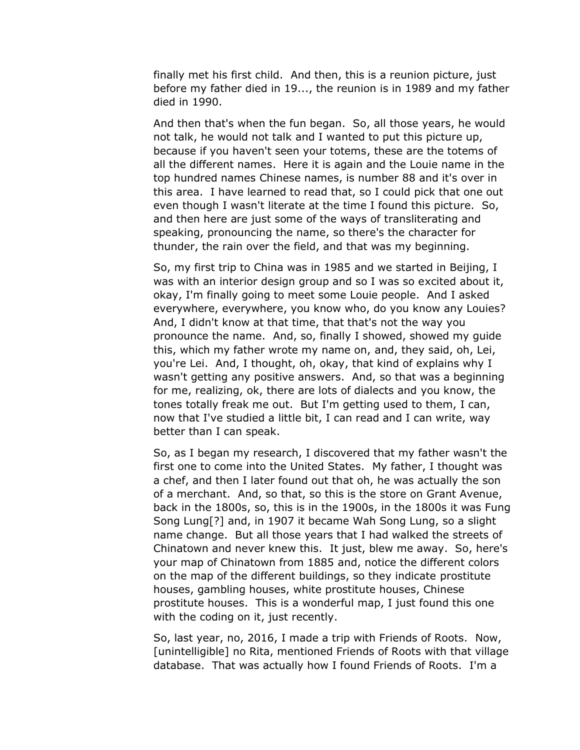finally met his first child. And then, this is a reunion picture, just before my father died in 19..., the reunion is in 1989 and my father died in 1990.

And then that's when the fun began. So, all those years, he would not talk, he would not talk and I wanted to put this picture up, because if you haven't seen your totems, these are the totems of all the different names. Here it is again and the Louie name in the top hundred names Chinese names, is number 88 and it's over in this area. I have learned to read that, so I could pick that one out even though I wasn't literate at the time I found this picture. So, and then here are just some of the ways of transliterating and speaking, pronouncing the name, so there's the character for thunder, the rain over the field, and that was my beginning.

So, my first trip to China was in 1985 and we started in Beijing, I was with an interior design group and so I was so excited about it, okay, I'm finally going to meet some Louie people. And I asked everywhere, everywhere, you know who, do you know any Louies? And, I didn't know at that time, that that's not the way you pronounce the name. And, so, finally I showed, showed my guide this, which my father wrote my name on, and, they said, oh, Lei, you're Lei. And, I thought, oh, okay, that kind of explains why I wasn't getting any positive answers. And, so that was a beginning for me, realizing, ok, there are lots of dialects and you know, the tones totally freak me out. But I'm getting used to them, I can, now that I've studied a little bit, I can read and I can write, way better than I can speak.

So, as I began my research, I discovered that my father wasn't the first one to come into the United States. My father, I thought was a chef, and then I later found out that oh, he was actually the son of a merchant. And, so that, so this is the store on Grant Avenue, back in the 1800s, so, this is in the 1900s, in the 1800s it was Fung Song Lung[?] and, in 1907 it became Wah Song Lung, so a slight name change. But all those years that I had walked the streets of Chinatown and never knew this. It just, blew me away. So, here's your map of Chinatown from 1885 and, notice the different colors on the map of the different buildings, so they indicate prostitute houses, gambling houses, white prostitute houses, Chinese prostitute houses. This is a wonderful map, I just found this one with the coding on it, just recently.

So, last year, no, 2016, I made a trip with Friends of Roots. Now, [unintelligible] no Rita, mentioned Friends of Roots with that village database. That was actually how I found Friends of Roots. I'm a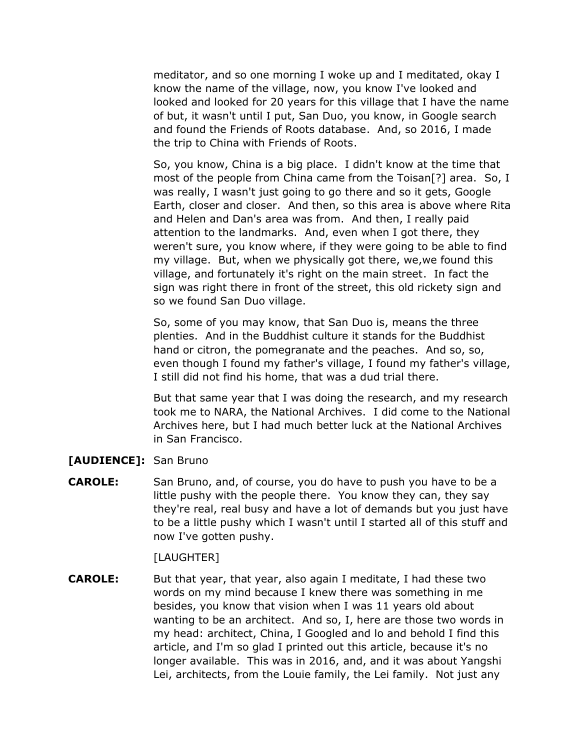meditator, and so one morning I woke up and I meditated, okay I know the name of the village, now, you know I've looked and looked and looked for 20 years for this village that I have the name of but, it wasn't until I put, San Duo, you know, in Google search and found the Friends of Roots database. And, so 2016, I made the trip to China with Friends of Roots.

So, you know, China is a big place. I didn't know at the time that most of the people from China came from the Toisan[?] area. So, I was really, I wasn't just going to go there and so it gets, Google Earth, closer and closer. And then, so this area is above where Rita and Helen and Dan's area was from. And then, I really paid attention to the landmarks. And, even when I got there, they weren't sure, you know where, if they were going to be able to find my village. But, when we physically got there, we,we found this village, and fortunately it's right on the main street. In fact the sign was right there in front of the street, this old rickety sign and so we found San Duo village.

So, some of you may know, that San Duo is, means the three plenties. And in the Buddhist culture it stands for the Buddhist hand or citron, the pomegranate and the peaches. And so, so, even though I found my father's village, I found my father's village, I still did not find his home, that was a dud trial there.

But that same year that I was doing the research, and my research took me to NARA, the National Archives. I did come to the National Archives here, but I had much better luck at the National Archives in San Francisco.

## **[AUDIENCE]:** San Bruno

**CAROLE:** San Bruno, and, of course, you do have to push you have to be a little pushy with the people there. You know they can, they say they're real, real busy and have a lot of demands but you just have to be a little pushy which I wasn't until I started all of this stuff and now I've gotten pushy.

## [LAUGHTER]

**CAROLE:** But that year, that year, also again I meditate, I had these two words on my mind because I knew there was something in me besides, you know that vision when I was 11 years old about wanting to be an architect. And so, I, here are those two words in my head: architect, China, I Googled and lo and behold I find this article, and I'm so glad I printed out this article, because it's no longer available. This was in 2016, and, and it was about Yangshi Lei, architects, from the Louie family, the Lei family. Not just any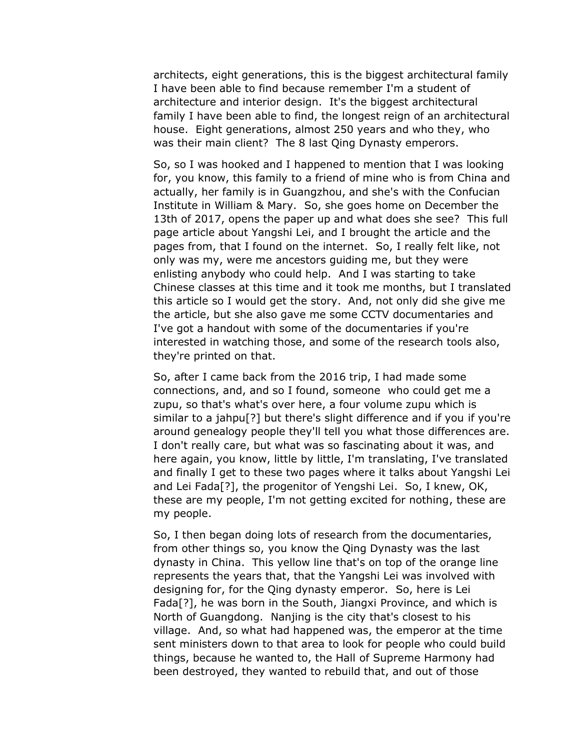architects, eight generations, this is the biggest architectural family I have been able to find because remember I'm a student of architecture and interior design. It's the biggest architectural family I have been able to find, the longest reign of an architectural house. Eight generations, almost 250 years and who they, who was their main client? The 8 last Qing Dynasty emperors.

So, so I was hooked and I happened to mention that I was looking for, you know, this family to a friend of mine who is from China and actually, her family is in Guangzhou, and she's with the Confucian Institute in William & Mary. So, she goes home on December the 13th of 2017, opens the paper up and what does she see? This full page article about Yangshi Lei, and I brought the article and the pages from, that I found on the internet. So, I really felt like, not only was my, were me ancestors guiding me, but they were enlisting anybody who could help. And I was starting to take Chinese classes at this time and it took me months, but I translated this article so I would get the story. And, not only did she give me the article, but she also gave me some CCTV documentaries and I've got a handout with some of the documentaries if you're interested in watching those, and some of the research tools also, they're printed on that.

So, after I came back from the 2016 trip, I had made some connections, and, and so I found, someone who could get me a zupu, so that's what's over here, a four volume zupu which is similar to a jahpu[?] but there's slight difference and if you if you're around genealogy people they'll tell you what those differences are. I don't really care, but what was so fascinating about it was, and here again, you know, little by little, I'm translating, I've translated and finally I get to these two pages where it talks about Yangshi Lei and Lei Fada[?], the progenitor of Yengshi Lei. So, I knew, OK, these are my people, I'm not getting excited for nothing, these are my people.

So, I then began doing lots of research from the documentaries, from other things so, you know the Qing Dynasty was the last dynasty in China. This yellow line that's on top of the orange line represents the years that, that the Yangshi Lei was involved with designing for, for the Qing dynasty emperor. So, here is Lei Fada[?], he was born in the South, Jiangxi Province, and which is North of Guangdong. Nanjing is the city that's closest to his village. And, so what had happened was, the emperor at the time sent ministers down to that area to look for people who could build things, because he wanted to, the Hall of Supreme Harmony had been destroyed, they wanted to rebuild that, and out of those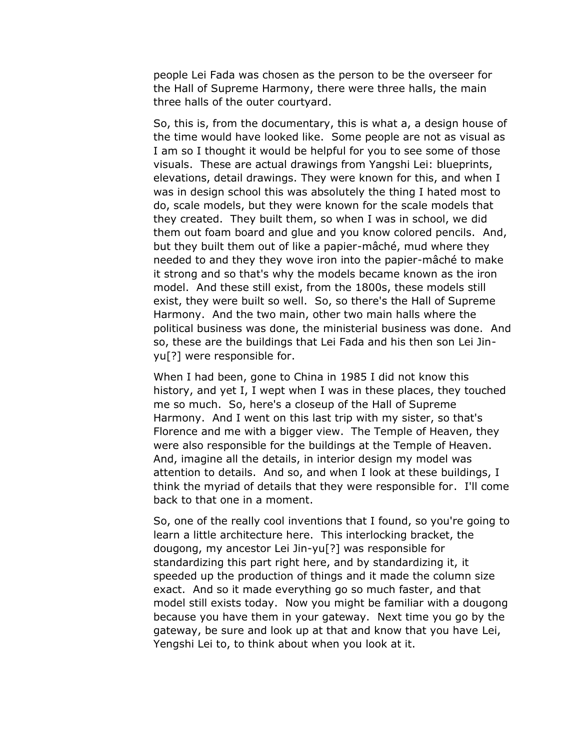people Lei Fada was chosen as the person to be the overseer for the Hall of Supreme Harmony, there were three halls, the main three halls of the outer courtyard.

So, this is, from the documentary, this is what a, a design house of the time would have looked like. Some people are not as visual as I am so I thought it would be helpful for you to see some of those visuals. These are actual drawings from Yangshi Lei: blueprints, elevations, detail drawings. They were known for this, and when I was in design school this was absolutely the thing I hated most to do, scale models, but they were known for the scale models that they created. They built them, so when I was in school, we did them out foam board and glue and you know colored pencils. And, but they built them out of like a papier-mâché, mud where they needed to and they they wove iron into the papier-mâché to make it strong and so that's why the models became known as the iron model. And these still exist, from the 1800s, these models still exist, they were built so well. So, so there's the Hall of Supreme Harmony. And the two main, other two main halls where the political business was done, the ministerial business was done. And so, these are the buildings that Lei Fada and his then son Lei Jinyu[?] were responsible for.

When I had been, gone to China in 1985 I did not know this history, and yet I, I wept when I was in these places, they touched me so much. So, here's a closeup of the Hall of Supreme Harmony. And I went on this last trip with my sister, so that's Florence and me with a bigger view. The Temple of Heaven, they were also responsible for the buildings at the Temple of Heaven. And, imagine all the details, in interior design my model was attention to details. And so, and when I look at these buildings, I think the myriad of details that they were responsible for. I'll come back to that one in a moment.

So, one of the really cool inventions that I found, so you're going to learn a little architecture here. This interlocking bracket, the dougong, my ancestor Lei Jin-yu[?] was responsible for standardizing this part right here, and by standardizing it, it speeded up the production of things and it made the column size exact. And so it made everything go so much faster, and that model still exists today. Now you might be familiar with a dougong because you have them in your gateway. Next time you go by the gateway, be sure and look up at that and know that you have Lei, Yengshi Lei to, to think about when you look at it.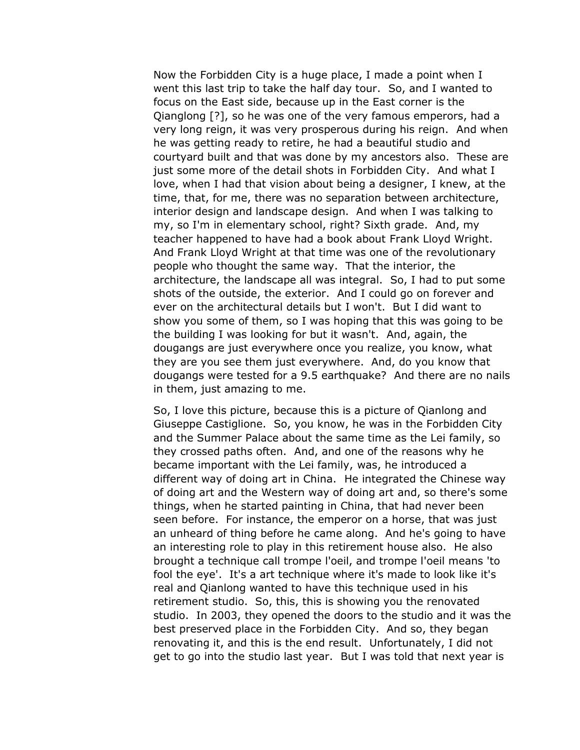Now the Forbidden City is a huge place, I made a point when I went this last trip to take the half day tour. So, and I wanted to focus on the East side, because up in the East corner is the Qianglong [?], so he was one of the very famous emperors, had a very long reign, it was very prosperous during his reign. And when he was getting ready to retire, he had a beautiful studio and courtyard built and that was done by my ancestors also. These are just some more of the detail shots in Forbidden City. And what I love, when I had that vision about being a designer, I knew, at the time, that, for me, there was no separation between architecture, interior design and landscape design. And when I was talking to my, so I'm in elementary school, right? Sixth grade. And, my teacher happened to have had a book about Frank Lloyd Wright. And Frank Lloyd Wright at that time was one of the revolutionary people who thought the same way. That the interior, the architecture, the landscape all was integral. So, I had to put some shots of the outside, the exterior. And I could go on forever and ever on the architectural details but I won't. But I did want to show you some of them, so I was hoping that this was going to be the building I was looking for but it wasn't. And, again, the dougangs are just everywhere once you realize, you know, what they are you see them just everywhere. And, do you know that dougangs were tested for a 9.5 earthquake? And there are no nails in them, just amazing to me.

So, I love this picture, because this is a picture of Qianlong and Giuseppe Castiglione. So, you know, he was in the Forbidden City and the Summer Palace about the same time as the Lei family, so they crossed paths often. And, and one of the reasons why he became important with the Lei family, was, he introduced a different way of doing art in China. He integrated the Chinese way of doing art and the Western way of doing art and, so there's some things, when he started painting in China, that had never been seen before. For instance, the emperor on a horse, that was just an unheard of thing before he came along. And he's going to have an interesting role to play in this retirement house also. He also brought a technique call trompe l'oeil, and trompe l'oeil means 'to fool the eye'. It's a art technique where it's made to look like it's real and Qianlong wanted to have this technique used in his retirement studio. So, this, this is showing you the renovated studio. In 2003, they opened the doors to the studio and it was the best preserved place in the Forbidden City. And so, they began renovating it, and this is the end result. Unfortunately, I did not get to go into the studio last year. But I was told that next year is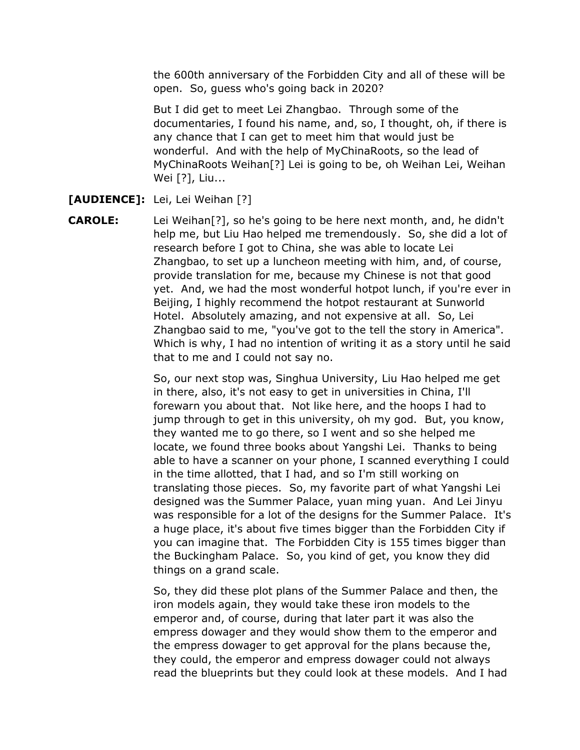the 600th anniversary of the Forbidden City and all of these will be open. So, guess who's going back in 2020?

But I did get to meet Lei Zhangbao. Through some of the documentaries, I found his name, and, so, I thought, oh, if there is any chance that I can get to meet him that would just be wonderful. And with the help of MyChinaRoots, so the lead of MyChinaRoots Weihan[?] Lei is going to be, oh Weihan Lei, Weihan Wei [?], Liu...

- **[AUDIENCE]:** Lei, Lei Weihan [?]
- **CAROLE:** Lei Weihan[?], so he's going to be here next month, and, he didn't help me, but Liu Hao helped me tremendously. So, she did a lot of research before I got to China, she was able to locate Lei Zhangbao, to set up a luncheon meeting with him, and, of course, provide translation for me, because my Chinese is not that good yet. And, we had the most wonderful hotpot lunch, if you're ever in Beijing, I highly recommend the hotpot restaurant at Sunworld Hotel. Absolutely amazing, and not expensive at all. So, Lei Zhangbao said to me, "you've got to the tell the story in America". Which is why, I had no intention of writing it as a story until he said that to me and I could not say no.

So, our next stop was, Singhua University, Liu Hao helped me get in there, also, it's not easy to get in universities in China, I'll forewarn you about that. Not like here, and the hoops I had to jump through to get in this university, oh my god. But, you know, they wanted me to go there, so I went and so she helped me locate, we found three books about Yangshi Lei. Thanks to being able to have a scanner on your phone, I scanned everything I could in the time allotted, that I had, and so I'm still working on translating those pieces. So, my favorite part of what Yangshi Lei designed was the Summer Palace, yuan ming yuan. And Lei Jinyu was responsible for a lot of the designs for the Summer Palace. It's a huge place, it's about five times bigger than the Forbidden City if you can imagine that. The Forbidden City is 155 times bigger than the Buckingham Palace. So, you kind of get, you know they did things on a grand scale.

So, they did these plot plans of the Summer Palace and then, the iron models again, they would take these iron models to the emperor and, of course, during that later part it was also the empress dowager and they would show them to the emperor and the empress dowager to get approval for the plans because the, they could, the emperor and empress dowager could not always read the blueprints but they could look at these models. And I had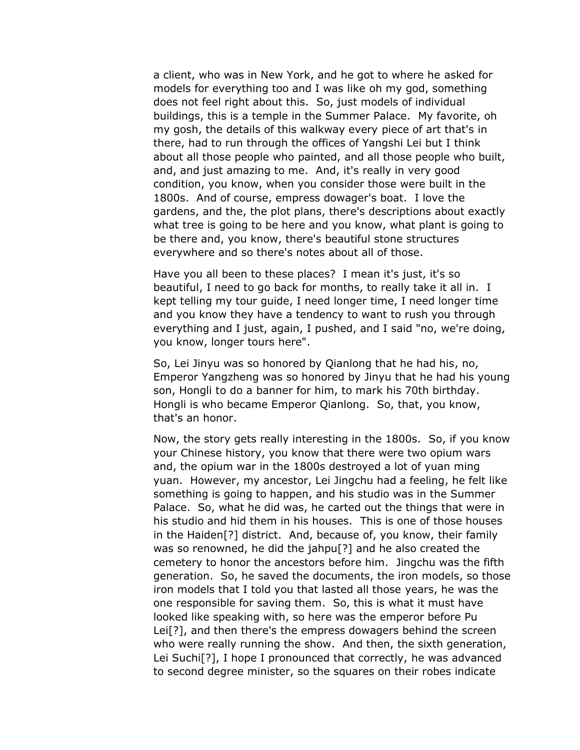a client, who was in New York, and he got to where he asked for models for everything too and I was like oh my god, something does not feel right about this. So, just models of individual buildings, this is a temple in the Summer Palace. My favorite, oh my gosh, the details of this walkway every piece of art that's in there, had to run through the offices of Yangshi Lei but I think about all those people who painted, and all those people who built, and, and just amazing to me. And, it's really in very good condition, you know, when you consider those were built in the 1800s. And of course, empress dowager's boat. I love the gardens, and the, the plot plans, there's descriptions about exactly what tree is going to be here and you know, what plant is going to be there and, you know, there's beautiful stone structures everywhere and so there's notes about all of those.

Have you all been to these places? I mean it's just, it's so beautiful, I need to go back for months, to really take it all in. I kept telling my tour guide, I need longer time, I need longer time and you know they have a tendency to want to rush you through everything and I just, again, I pushed, and I said "no, we're doing, you know, longer tours here".

So, Lei Jinyu was so honored by Qianlong that he had his, no, Emperor Yangzheng was so honored by Jinyu that he had his young son, Hongli to do a banner for him, to mark his 70th birthday. Hongli is who became Emperor Qianlong. So, that, you know, that's an honor.

Now, the story gets really interesting in the 1800s. So, if you know your Chinese history, you know that there were two opium wars and, the opium war in the 1800s destroyed a lot of yuan ming yuan. However, my ancestor, Lei Jingchu had a feeling, he felt like something is going to happen, and his studio was in the Summer Palace. So, what he did was, he carted out the things that were in his studio and hid them in his houses. This is one of those houses in the Haiden[?] district. And, because of, you know, their family was so renowned, he did the jahpu[?] and he also created the cemetery to honor the ancestors before him. Jingchu was the fifth generation. So, he saved the documents, the iron models, so those iron models that I told you that lasted all those years, he was the one responsible for saving them. So, this is what it must have looked like speaking with, so here was the emperor before Pu Lei[?], and then there's the empress dowagers behind the screen who were really running the show. And then, the sixth generation, Lei Suchi[?], I hope I pronounced that correctly, he was advanced to second degree minister, so the squares on their robes indicate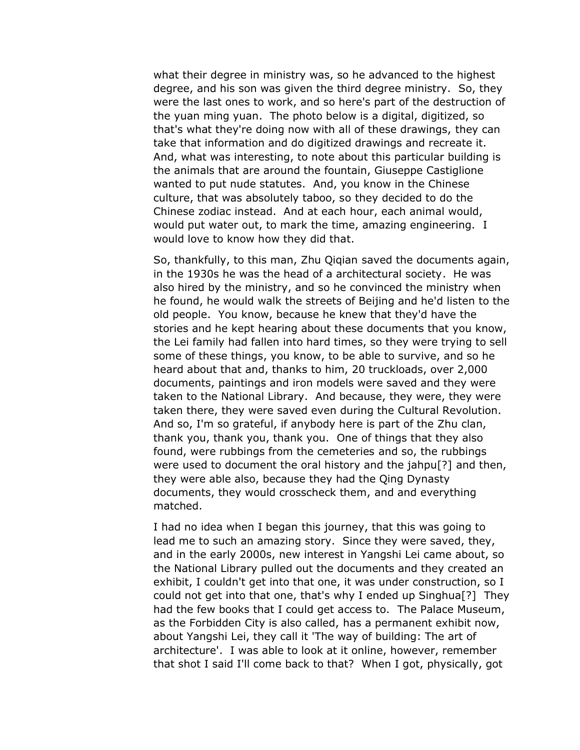what their degree in ministry was, so he advanced to the highest degree, and his son was given the third degree ministry. So, they were the last ones to work, and so here's part of the destruction of the yuan ming yuan. The photo below is a digital, digitized, so that's what they're doing now with all of these drawings, they can take that information and do digitized drawings and recreate it. And, what was interesting, to note about this particular building is the animals that are around the fountain, Giuseppe Castiglione wanted to put nude statutes. And, you know in the Chinese culture, that was absolutely taboo, so they decided to do the Chinese zodiac instead. And at each hour, each animal would, would put water out, to mark the time, amazing engineering. I would love to know how they did that.

So, thankfully, to this man, Zhu Qiqian saved the documents again, in the 1930s he was the head of a architectural society. He was also hired by the ministry, and so he convinced the ministry when he found, he would walk the streets of Beijing and he'd listen to the old people. You know, because he knew that they'd have the stories and he kept hearing about these documents that you know, the Lei family had fallen into hard times, so they were trying to sell some of these things, you know, to be able to survive, and so he heard about that and, thanks to him, 20 truckloads, over 2,000 documents, paintings and iron models were saved and they were taken to the National Library. And because, they were, they were taken there, they were saved even during the Cultural Revolution. And so, I'm so grateful, if anybody here is part of the Zhu clan, thank you, thank you, thank you. One of things that they also found, were rubbings from the cemeteries and so, the rubbings were used to document the oral history and the jahpu[?] and then, they were able also, because they had the Qing Dynasty documents, they would crosscheck them, and and everything matched.

I had no idea when I began this journey, that this was going to lead me to such an amazing story. Since they were saved, they, and in the early 2000s, new interest in Yangshi Lei came about, so the National Library pulled out the documents and they created an exhibit, I couldn't get into that one, it was under construction, so I could not get into that one, that's why I ended up Singhua[?] They had the few books that I could get access to. The Palace Museum, as the Forbidden City is also called, has a permanent exhibit now, about Yangshi Lei, they call it 'The way of building: The art of architecture'. I was able to look at it online, however, remember that shot I said I'll come back to that? When I got, physically, got